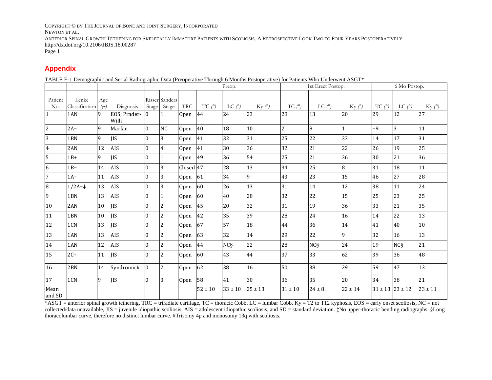COPYRIGHT © BY THE JOURNAL OF BONE AND JOINT SURGERY, INCORPORATED

NEWTON ET AL.

ANTERIOR SPINAL GROWTH TETHERING FOR SKELETALLY IMMATURE PATIENTS WITH SCOLIOSIS: A RETROSPECTIVE LOOK TWO TO FOUR YEARS POSTOPERATIVELY http://dx.doi.org/10.2106/JBJS.18.00287

Page 1

## **Appendix**

TABLE E-1 Demographic and Serial Radiographic Data (Preoperative Through 6 Months Postoperative) for Patients Who Underwent ASGT\*

|                           |                         |             |                       |                |                         |             |                | Preop.          |                          | 1st Erect Postop. |                 |             | 6 Mo Postop.        |                  |             |  |
|---------------------------|-------------------------|-------------|-----------------------|----------------|-------------------------|-------------|----------------|-----------------|--------------------------|-------------------|-----------------|-------------|---------------------|------------------|-------------|--|
| Patient<br>N <sub>o</sub> | Lenke<br>Classification | Age<br>(yr) | Diagnosis             | Stage          | Risser Sanders<br>Stage | <b>TRC</b>  | $TC$ $\varphi$ | $LC$ $\ell$ )   | $\rm{Ky}$ $\binom{°}{ }$ | $TC$ $\varphi$    | LC(°)           | $Ky($ °     | $TC(^\circ)$        | $LC$ $\varphi$ ) | $Ky($ °)    |  |
| $\mathbf{1}$              | 1AN                     | 9           | EOS; Prader-<br>Willi | $\mathbf{0}$   |                         | Open        | 44             | 24              | 23                       | 28                | 13              | 20          | 29                  | 12               | 27          |  |
| $\overline{c}$            | $2A-$                   | 9           | Marfan                | $\overline{0}$ | NC                      | Open        | 40             | 18              | $10\,$                   | $\overline{2}$    | 8               | 1           | -9                  | 3                | 11          |  |
| $\overline{3}$            | 1 <sub>BN</sub>         | 9           | <b>IIS</b>            | $\Omega$       | 3                       | Open        | 41             | 32              | 31                       | 25                | 22              | 33          | 14                  | 17               | 31          |  |
| $\overline{4}$            | 2AN                     | 12          | AIS                   | $\mathbf{0}$   | $\overline{4}$          | Open        | 41             | 30              | 36                       | 32                | 21              | 22          | 26                  | 19               | 25          |  |
| 5                         | $1B+$                   | 9           | <b>IIS</b>            | $\theta$       | 1                       | Open        | 49             | 36              | 54                       | 25                | 21              | 36          | 30                  | 21               | 36          |  |
| $\overline{6}$            | $1B-$                   | 14          | AIS                   | $\theta$       | 3                       | Closed 47   |                | 28              | 13                       | 34                | 25              | 8           | 31                  | 18               | 11          |  |
| $\overline{7}$            | $1A-$                   | 11          | AIS                   | $\Omega$       | 3                       | Open        | 61             | 34              | 9                        | 43                | 23              | 15          | 46                  | 27               | 28          |  |
| 8                         | $1/2A - 1$              | 13          | AIS                   | $\theta$       | 3                       | <b>Open</b> | 60             | 26              | 13                       | 31                | 14              | 12          | 38                  | 11               | 24          |  |
| 9                         | 1BN                     | 13          | AIS                   | $\theta$       | 1                       | <b>Open</b> | 60             | 40              | 28                       | 32                | 22              | 15          | 25                  | 23               | 25          |  |
| 10                        | 2AN                     | 10          | <b>IIS</b>            | $\Omega$       | $\overline{c}$          | Open        | 45             | 20              | 32                       | 31                | 19              | 36          | 33                  | 21               | 35          |  |
| 11                        | 1BN                     | 10          | <b>IIS</b>            | $\mathbf{0}$   | $\overline{c}$          | Open        | 42             | 35              | 39                       | 28                | 24              | 16          | 14                  | 22               | 13          |  |
| 12                        | 1CN                     | 13          | <b>IIS</b>            | $\mathbf{0}$   | $\overline{c}$          | <b>Open</b> | 67             | 57              | 18                       | 44                | 36              | 14          | 41                  | 40               | 10          |  |
| 13                        | 1AN                     | 13          | AIS                   | $\theta$       | $\overline{c}$          | Open        | 63             | 32              | 14                       | 29                | 22              | 9           | 32                  | 16               | 13          |  |
| 14                        | 1AN                     | 12          | <b>AIS</b>            | $\theta$       | $\overline{c}$          | Open        | 44             | NC <sub>S</sub> | 22                       | 28                | NC <sub>S</sub> | 24          | 19                  | NC <sub>S</sub>  | 21          |  |
| 15                        | $2C+$                   | 11          | <b>IIS</b>            | $\theta$       | $\overline{c}$          | Open        | 60             | 43              | 44                       | 37                | 33              | 62          | 39                  | 36               | 48          |  |
| 16                        | 2 <sub>BN</sub>         | 14          | Syndromic#            | $\theta$       | $\overline{c}$          | Open        | 62             | 38              | 16                       | 50                | 38              | 29          | 59                  | 47               | 13          |  |
| 17                        | 1CN                     | 9           | <b>IIS</b>            | $\Omega$       | 3                       | Open        | 58             | 41              | 30                       | 36                | 35              | 20          | 34                  | 38               | 21          |  |
| Mean<br>and SD            |                         |             |                       |                |                         |             | $52 \pm 10$    | $33 \pm 10$     | $25 \pm 13$              | $31 \pm 10$       | $24 \pm 8$      | $22 \pm 14$ | $31 \pm 13$ 23 ± 12 |                  | $23 \pm 11$ |  |

 $*$ ASGT = anterior spinal growth tethering, TRC = triradiate cartilage, TC = thoracic Cobb, LC = lumbar Cobb, Ky = T2 to T12 kyphosis, EOS = early onset scoliosis, NC = not collected/data unavailable, JIS = juvenile idiopathic scoliosis, AIS = adolescent idiopathic scoliosis, and SD = standard deviation. ‡No upper-thoracic bending radiographs. §Long thoracolumbar curve, therefore no distinct lumbar curve. #Trisomy 4p and monosomy 13q with scoliosis.